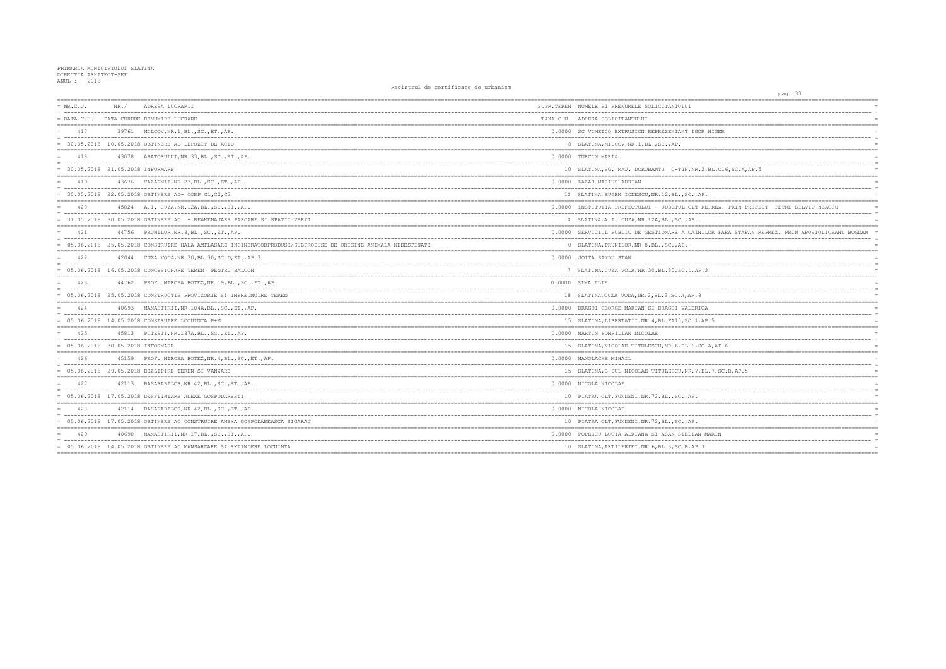| $= NR.C.U.$                                             | NR. / | ADRESA LUCRARII                                                                                              | SUPR.TEREN NUMELE SI PRENUMELE SOLICITANTULUI         |
|---------------------------------------------------------|-------|--------------------------------------------------------------------------------------------------------------|-------------------------------------------------------|
| = ------------------------------------<br>$=$ DATA C.U. |       | DATA CERERE DENUMIRE LUCRARE                                                                                 | TAXA C.U. ADRESA SOLICITANTULUI                       |
| 417                                                     |       | 39761 MILCOV, NR. 1, BL., SC., ET., AP.                                                                      | 0.0000 SC VIMETCO EXTRUSION REPREZENTANT IGOR HI      |
|                                                         |       | = 30.05.2018 10.05.2018 OBTINERE AD DEPOZIT DE ACID                                                          | 8 SLATINA, MILCOV, NR. 1, BL., SC., AP.               |
| 418                                                     |       | 43078 ABATORULUI, NR. 33, BL., SC., ET., AP.                                                                 | 0.0000 TURCIN MARIA                                   |
| = 30.05.2018 21.05.2018 INFORMARE                       |       |                                                                                                              | 10 SLATINA, SG. MAJ. DOROBANTU C-TIN, NR.2, BL        |
| 419                                                     |       | 43676 CAZARMII, NR.23, BL., SC., ET., AP.                                                                    | 0.0000 LAZAR MARIUS ADRIAN                            |
|                                                         |       | $= 30.05.2018$ 22.05.2018 OBTINERE AD- CORP C1, C2, C3                                                       | 10 SLATINA, EUGEN IONESCU, NR.12, BL., SC., AP.       |
| 420                                                     |       | 45824 A.I. CUZA, NR. 12A, BL., SC., ET., AP.                                                                 | 0.0000 INSTITUTIA PREFECTULUI - JUDETUL OLT REPR      |
|                                                         |       | = 31.05.2018 30.05.2018 OBTINERE AC - REAMENAJARE PARCARE SI SPATII VERZI                                    | 0 SLATINA, A.I. CUZA, NR. 12A, BL., SC., AP.          |
| 421                                                     |       | 44756 PRUNILOR, NR. 8, BL., SC., ET., AP.                                                                    | 0.0000 SERVICIUL PUBLIC DE GESTIONARE A CAINILOR      |
|                                                         |       | 05.06.2018 25.05.2018 CONSTRUIRE HALA AMPLASARE INCINERATORPRODUSE/SUBPRODUSE DE ORIGINE ANIMALA NEDESTINATE | 0 SLATINA, PRUNILOR, NR. 8, BL., SC., AP.             |
| 422                                                     |       | 42044 CUZA VODA, NR. 30, BL. 30, SC. D, ET., AP. 3                                                           | 0.0000 JOITA SANDU STAN                               |
|                                                         |       | = 05.06.2018 16.05.2018 CONCESIONARE TEREN PENTRU BALCON                                                     | 7 SLATINA, CUZA VODA, NR. 30, BL. 30, SC. D, AP. 3    |
| 423                                                     |       | 44762 PROF. MIRCEA BOTEZ, NR.19, BL., SC., ET., AP.                                                          | 0.0000 SIMA ILIE                                      |
|                                                         |       | = 05.06.2018 25.05.2018 CONSTRUCTIE PROVIZORIE SI IMPREJMUIRE TEREN                                          | 18 SLATINA, CUZA VODA, NR. 2, BL. 2, SC. A, AP. 8     |
| 424                                                     |       | 40693 MANASTIRII, NR.104A, BL., SC., ET., AP.                                                                | 0.0000 DRAGOI GEORGE MARIAN SI DRAGOI VALERICA        |
|                                                         |       | 05.06.2018 14.05.2018 CONSTRUIRE LOCUINTA P+M                                                                | 15 SLATINA, LIBERTATII, NR. 4, BL. FA15, SC. 1, AP. 5 |
|                                                         |       | 45813 PITESTI, NR. 187A, BL., SC., ET., AP.                                                                  | 0.0000 MARTIN POMPILIAN NICOLAE                       |
| $= 05.06.2018 30.05.2018$ INFORMARE                     |       |                                                                                                              | 15 SLATINA, NICOLAE TITULESCU, NR. 6, BL. 6, SC. A,   |
| 426                                                     |       | 45159 PROF. MIRCEA BOTEZ, NR. 4, BL., SC., ET., AP.                                                          | 0.0000 MANOLACHE MIHAIL                               |
|                                                         |       | $= 05.06.2018 29.05.2018$ DEZLIPIRE TEREN SI VANZARE                                                         | 15 SLATINA, B-DUL NICOLAE TITULESCU, NR. 7, BL. 7     |
| 427                                                     |       | 42113 BASARABILOR, NR. 42, BL., SC., ET., AP.                                                                | 0.0000 NICOLA NICOLAE                                 |
|                                                         |       | $= 05.06.2018$ 17.05.2018 DESFIINTARE ANEXE GOSPODARESTI                                                     | 10 PIATRA OLT, FUNDENI, NR. 72, BL., SC., AP.         |
| 428                                                     |       | 42114 BASARABILOR, NR. 42, BL., SC., ET., AP.                                                                | 0.0000 NICOLA NICOLAE                                 |
|                                                         |       | = 05.06.2018 17.05.2018 OBTINERE AC CONSTRUIRE ANEXA GOSPODAREASCA SIGARAJ                                   | 10 PIATRA OLT, FUNDENI, NR. 72, BL., SC., AP.         |
| 429                                                     |       | 40690 MANASTIRII, NR.17, BL., SC., ET., AP.                                                                  | 0.0000 POPESCU LUCIA ADRIANA SI ASAN STELIAN MAR      |
|                                                         |       | = 05.06.2018 14.05.2018 OBTINERE AC MANSARDARE SI EXTINDERE LOCUINTA                                         | 10 SLATINA, ARTILERIEI, NR. 6, BL. 3, SC. B, AP. 3    |

| 33<br>pag.                                                            |  |
|-----------------------------------------------------------------------|--|
|                                                                       |  |
| $=$                                                                   |  |
| $=$                                                                   |  |
| $=$                                                                   |  |
| ================<br>====<br>== ===============                        |  |
| GER<br>$=$                                                            |  |
| $=$                                                                   |  |
| $=$                                                                   |  |
| :================<br>=====<br>-------------------------<br>$=$        |  |
| $=$<br>-----                                                          |  |
| $=$                                                                   |  |
| .C16, SC.A, AP.5<br>$=$<br>=============================<br>========= |  |
|                                                                       |  |
| $=$                                                                   |  |
| $=$<br>$=$                                                            |  |
|                                                                       |  |
| EZ.<br>PRIN PREFECT<br>PETRE SILVIU NEACSU                            |  |
| $=$                                                                   |  |
| $=$                                                                   |  |
|                                                                       |  |
| FARA STAPAN REPREZ. PRIN APOSTOLICEANU BOGDAN<br>$=$                  |  |
|                                                                       |  |
| $=$                                                                   |  |
| ------<br>-------------------------------<br>. ==========             |  |
| $=$                                                                   |  |
| $=$                                                                   |  |
| $=$                                                                   |  |
| ====<br>$=$                                                           |  |
| $=$                                                                   |  |
| $=$                                                                   |  |
| $=$                                                                   |  |
|                                                                       |  |
| $=$                                                                   |  |
| $=$                                                                   |  |
| $=$                                                                   |  |
| ========                                                              |  |
| $=$                                                                   |  |
| $=$                                                                   |  |
| AP.6<br>$=$                                                           |  |
|                                                                       |  |
| $=$                                                                   |  |
| ------------<br>$=$                                                   |  |
| , SC.B, AP.5                                                          |  |
|                                                                       |  |
| $=$                                                                   |  |
| $=$                                                                   |  |
| $=$                                                                   |  |
| -------------------<br>======<br>$=$ $=$ $=$                          |  |
| $=$                                                                   |  |
| $=$                                                                   |  |
| $=$                                                                   |  |
|                                                                       |  |
| ΙN<br>$=$                                                             |  |
| $=$                                                                   |  |
| $=$                                                                   |  |
|                                                                       |  |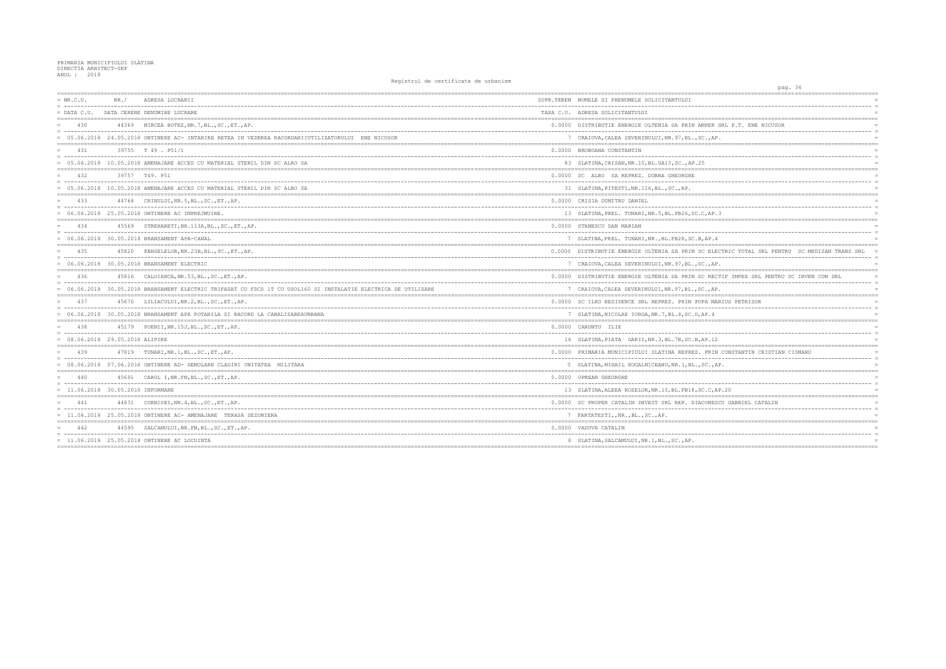| $= NR.C.U.$<br>= ------------------------------------ | NR./ | ADRESA LUCRARII                                                                                                 | SUPR.TEREN NUMELE SI PRENUMELE SOLICITANTULUI        |
|-------------------------------------------------------|------|-----------------------------------------------------------------------------------------------------------------|------------------------------------------------------|
|                                                       |      | = DATA C.U. DATA CERERE DENUMIRE LUCRARE                                                                        | TAXA C.U. ADRESA SOLICITANTULUI                      |
| 430                                                   |      | 44369 MIRCEA BOTEZ, NR. 7, BL., SC., ET., AP.                                                                   | 0.0000 DISTRIBUTIE ENERGIE OLTENIA SA PRIN AMPEF     |
|                                                       |      | = 05.06.2018 24.05.2018 OBTINERE AC- INTARIRE RETEA IN VEDEREA RACORDARIIUTILIZATORULUI ENE NICUSOR             | 7 CRAIOVA, CALEA SEVERINULUI, NR. 97, BL., SC., A    |
| 4.31                                                  |      | 39755 T 49 . P51/1                                                                                              | 0.0000 BROBOANA CONSTANTIN                           |
|                                                       |      | = 05.06.2018 10.05.2018 AMENAJARE ACCES CU MATERIAL STERIL DIN SC ALRO SA                                       | 83 SLATINA, CRISAN, NR. 10, BL. GA13, SC., AP. 25    |
| 432                                                   |      | 39757 T49. P51                                                                                                  | 0.0000 SC ALRO SA REPREZ. DOBRA GHEORGHE             |
|                                                       |      | = 05.06.2018 10.05.2018 AMENAJARE ACCES CU MATERIAL STERIL DIN SC ALRO SA                                       | 31 SLATINA, PITESTI, NR. 116, BL., SC., AP.          |
| 433                                                   |      | 44768 CRINULUI, NR.5, BL., SC., ET., AP.                                                                        | 0.0000 CRISIA DUMITRU DANIEL                         |
|                                                       |      | = 06.06.2018 25.05.2018 OBTINERE AC IMPREJMUIRE.                                                                | 13 SLATINA, PREL. TUNARI, NR. 5, BL. FB26, SC. C, AE |
| 434                                                   |      | 45569 STREHARETI, NR. 113A, BL., SC., ET., AP.                                                                  | 0.0000 STANESCU DAN MARIAN                           |
|                                                       |      | = 06.06.2018 30.05.2018 BRANSAMENT APA-CANAL                                                                    | 7 SLATINA, PREL. TUNARI, NR., BL. FB28, SC. B, AP.   |
| 435                                                   |      | 45820 PANSELELOR, NR. 23B, BL., SC., ET., AP.                                                                   | 0.0000 DISTRIBUTIE ENERGIE OLTENIA SA PRIN SC EI     |
|                                                       |      | = 06.06.2018 30.05.2018 BRANSAMENT ELECTRIC                                                                     | 7 CRAIOVA, CALEA SEVERINULUI, NR. 97, BL., SC., P    |
| 436                                                   |      | 45816 CALOIANCA, NR.53, BL., SC., ET., AP.                                                                      | 0.0000 DISTRIBUTIE ENERGIE OLTENIA SA PRIN SC RE     |
|                                                       |      | = 06.06.2018 30.05.2018 BRANSAMENT ELECTRIC TRIFAZAT CU FDCS 1T CU USOL160 SI INSTALATIE ELECTRICA DE UTILIZARE | 7 CRAIOVA, CALEA SEVERINULUI, NR. 97, BL., SC., A    |
| 437                                                   |      | 45670 LILIACULUI, NR.2, BL., SC., ET., AP.                                                                      | 0.0000 SC ILKO RESIDENCE SRL REPREZ. PRIN POPA M     |
|                                                       |      | = 06.06.2018 30.05.2018 BRANSAMENT APA POTABILA SI RACORD LA CANALIZAREAURBANA                                  | 7 SLATINA, NICOLAE IORGA, NR. 7, BL. 4, SC. D, AP. 4 |
| 438                                                   |      | 45179 POENII, NR. 15J, BL., SC., ET., AP.                                                                       | 0.0000 CARUNTU ILIE                                  |
| $= 08.06.2018 29.05.2018 ALIPIRE$                     |      |                                                                                                                 | 16 SLATINA, PIATA GARII, NR. 3, BL. 7B, SC. B, AP. 1 |
| 439                                                   |      | 47819 TUNARI, NR. 1, BL., SC., ET., AP.                                                                         | 0.0000 PRIMARIA MUNICIPIULUI SLATINA REPREZ. PRI     |
|                                                       |      | = 08.06.2018 07.06.2018 OBTINERE AD- DEMOLARE CLADIRI UNITATEA MILITARA                                         | 0 SLATINA, MIHAIL KOGALNICEANU, NR. 1, BL., SC.,     |
| 440                                                   |      | 45691 CAROL I, NR. FN, BL., SC., ET., AP.                                                                       | 0.0000 OPREAN GHEORGHE                               |
| $= 11.06.2018 30.05.2018$ INFORMARE                   |      |                                                                                                                 | 13 SLATINA, ALEEA ROZELOR, NR. 10, BL. FB18, SC.C,   |
| 441                                                   |      | 44831 CORNISEI, NR. 4, BL., SC., ET., AP.                                                                       | 0.0000 SC PROPER CATALIN INVEST SRL REP. DIACONE     |
|                                                       |      | = 11.06.2018 25.05.2018 OBTINERE AC- AMENAJARE TERASA SEZONIERA                                                 | 7 FARTATESTI,, NR., BL., SC., AP.                    |
| 442                                                   |      | 44595 SALCAMULUI, NR. FN, BL., SC., ET., AP.                                                                    | 0.0000 VADUVA CATALIN                                |
|                                                       |      | = 11.06.2018 25.05.2018 OBTINERE AC LOCUINTA                                                                    | 8 SLATINA, SALCAMULUI, NR. 1, BL., SC., AP.          |
|                                                       |      |                                                                                                                 |                                                      |

| pag. 34                                                              |                       |
|----------------------------------------------------------------------|-----------------------|
| -----------------------<br>;==============================           |                       |
|                                                                      |                       |
|                                                                      |                       |
| AMPER SRL P.T. ENE NICUSOR                                           |                       |
|                                                                      |                       |
| , $SC.$ , $AP.$<br>.================                                 | $\equiv$              |
|                                                                      |                       |
|                                                                      | $\equiv$              |
| , 25<br>===========<br>--------------------------------              |                       |
|                                                                      |                       |
|                                                                      | $\equiv$              |
|                                                                      |                       |
|                                                                      |                       |
| C.C, AP.3                                                            |                       |
| -------------                                                        | $=$                   |
|                                                                      | $\overline{a}$        |
| B, AP.4                                                              |                       |
| $=$ $=$ $=$ $=$<br>SC ELECTRIC TOTAL SRL PENTRU SC MEDISAN TRANS SRL |                       |
| , SC . , AP .                                                        | $\overline{a}$<br>$=$ |
| SC RECTIF IMPEX SRL PENTRU SC IRVEN COM SRL                          | $\equiv$              |
| $- -$                                                                | $\equiv$              |
| , $SC.$ , $AP.$                                                      |                       |
| POPA MARIUS PETRISOR                                                 | $\equiv$              |
| ------<br>D, AP.4                                                    | $\equiv$              |
|                                                                      | $=$                   |
|                                                                      | $\equiv$              |
| <b>B, AP. 12</b>                                                     |                       |
| ----------------<br>---------------------------                      | $=$ $=$               |
| Z. PRIN CONSTANTIN CRISTIAN CISMARU<br>.                             |                       |
| $\ldots$ , SC $\ldots$ , AP.                                         |                       |
|                                                                      |                       |
|                                                                      | $\overline{a}$        |
| , SC.C, AP.20                                                        |                       |
| IACONESCU GABRIEL CATALIN                                            | $=$                   |
|                                                                      |                       |
| =========                                                            |                       |
|                                                                      |                       |
|                                                                      | $\overline{a}$        |
|                                                                      |                       |
|                                                                      | $=$                   |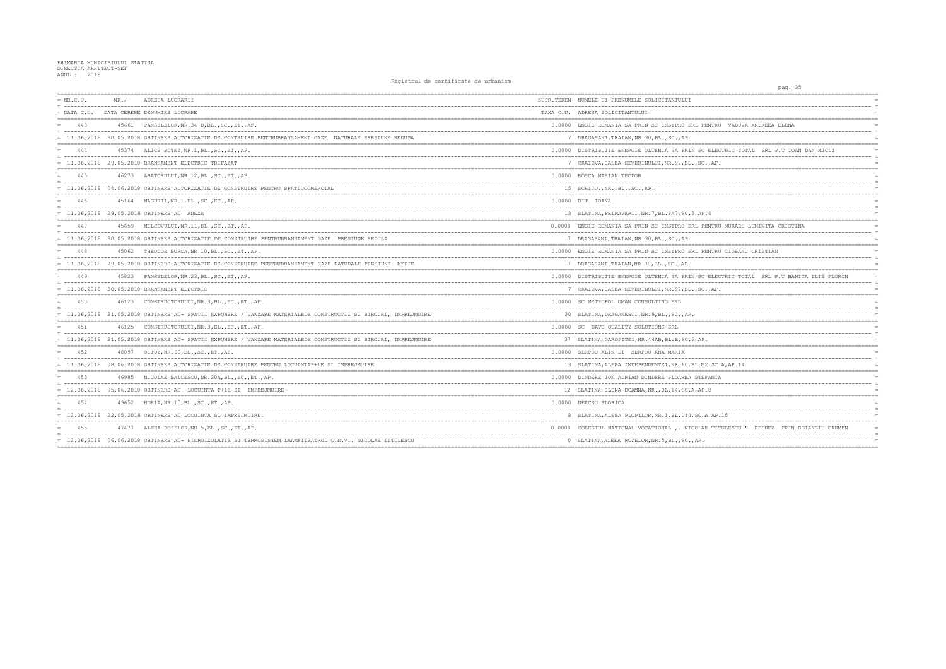| $= NR.C.U.$   | NR.   | ADRESA LUCRARII                                                                                                | SUPR.TEREN NUMELE SI PRENUMELE SOLICITANTULUI        |
|---------------|-------|----------------------------------------------------------------------------------------------------------------|------------------------------------------------------|
| $=$ DATA C.U. |       | DATA CERERE DENUMIRE LUCRARE                                                                                   | TAXA C.U. ADRESA SOLICITANTULUI                      |
| 443           |       | 45661 PANSELELOR, NR.34 D, BL., SC., ET., AP.                                                                  | 0.0000 ENGIE ROMANIA SA PRIN SC INSTPRO SRL PENTRI   |
|               |       | = 11.06.2018 30.05.2018 OBTINERE AUTORIZATIE DE CONTRUIRE PENTRUBRANSAMENT GAZE NATURALE PRESIUNE REDUSA       | 7 DRAGASANI, TRAIAN, NR. 30, BL., SC., AP.           |
| 444           |       | 45374 ALICE BOTEZ, NR.1, BL., SC., ET., AP.                                                                    | 0.0000 DISTRIBUTIE ENERGIE OLTENIA SA PRIN SC ELEG   |
|               |       | $= 11.06.2018$ 29.05.2018 BRANSAMENT ELECTRIC TRIFAZAT                                                         | 7 CRAIOVA, CALEA SEVERINULUI, NR. 97, BL., SC., AP   |
| 445           |       | 46273 ABATORULUI, NR.12, BL., SC., ET., AP.                                                                    | 0.0000 ROSCA MARIAN TEODOR                           |
|               |       | = 11.06.2018 04.06.2018 OBTINERE AUTORIZATIE DE CONSTRUIRE PENTRU SPATIUCOMERCIAL                              | 15 SCHITU, , NR., BL., SC., AP.                      |
| 446           |       | 45164 MAGURII, NR.1, BL., SC., ET., AP.                                                                        | 0.0000 BIT IOANA                                     |
|               |       | = 11.06.2018 29.05.2018 OBTINERE AC ANEXA                                                                      | 13 SLATINA, PRIMAVERII, NR. 7, BL. FA7, SC. 3, AP. 4 |
| 447           |       | 45659 MILCOVULUI, NR. 11, BL., SC., ET., AP.                                                                   | 0.0000 ENGIE ROMANIA SA PRIN SC INSTPRO SRL PENTRI   |
|               |       | = 11.06.2018 30.05.2018 OBTINERE AUTORIZATIE DE CONSTRUIRE PENTRUBRANSAMENT GAZE PRESIUNE REDUSA               | 7 DRAGASANI, TRAIAN, NR. 30, BL., SC., AP.           |
| 448           |       | 45062 THEODOR BURCA, NR. 10, BL., SC., ET., AP.                                                                | 0.0000 ENGIE ROMANIA SA PRIN SC INSTPRO SRL PENTRI   |
|               |       | = 11.06.2018 29.05.2018 OBTINERE AUTORIZATIE DE CONSTRUIRE PENTRUBRANSAMENT GAZE NATURALE PRESIUNE MEDIE       | 7 DRAGASANI, TRAIAN, NR. 30, BL., SC., AP.           |
| 449           |       | 45823 PANSELELOR, NR. 23, BL., SC., ET., AP.                                                                   | 0.0000 DISTRIBUTIE ENERGIE OLTENIA SA PRIN SC ELEO   |
|               |       | = 11.06.2018 30.05.2018 BRANSAMENT ELECTRIC                                                                    | 7 CRAIOVA, CALEA SEVERINULUI, NR. 97, BL., SC., AP   |
| 450           |       | 46123 CONSTRUCTORULUI, NR.3, BL., SC., ET., AP.                                                                | 0.0000 SC METROPOL UMAN CONSULTING SRL               |
|               |       | = 11.06.2018 31.05.2018 OBTINERE AC- SPATII EXPUNERE / VANZARE MATERIALEDE CONSTRUCTII SI BIROURI, IMPREJMUIRE | 30 SLATINA, DRAGANESTI, NR. 9, BL., SC., AP.         |
| 4.51          |       | 46125 CONSTRUCTORULUI, NR.3, BL., SC., ET., AP.                                                                | 0.0000 SC DAVO QUALITY SOLUTIONS SRL                 |
|               |       | = 11.06.2018 31.05.2018 OBTINERE AC- SPATII EXPUNERE / VANZARE MATERIALEDE CONSTRUCTII SI BIROURI, IMPREJMUIRE | 37 SLATINA, GAROFITEI, NR. 44AB, BL. B, SC. 2, AP.   |
| 452           | 48097 | OITUZ, NR.69, BL., SC., ET., AP.                                                                               | 0.0000 SERPOU ALIN SI SERPOU ANA MARIA               |
|               |       | = 11.06.2018 08.06.2018 OBTINERE AUTORIZATIE DE CONSTRUIRE PENTRU LOCUINTAP+1E SI IMPREJMUIRE                  | 13 SLATINA, ALEEA INDEPENDENTEI, NR. 10, BL. M2, SC  |
| 453           | 46985 | NICOLAE BALCESCU, NR.20A, BL., SC., ET., AP.                                                                   | 0.0000 DINDERE ION ADRIAN DINDERE FLOAREA STEFANIA   |
|               |       | = 12.06.2018 05.06.2018 OBTINERE AC- LOCUINTA P+1E SI IMPREJMUIRE                                              | 12 SLATINA, ELENA DOAMNA, NR., BL.14, SC.A, AP.8     |
| 454           |       | 43652 HORIA, NR. 15, BL., SC., ET., AP.                                                                        | 0.0000 NEACSU FLORICA                                |
|               |       | $=$ 12.06.2018 22.05.2018 OBTINERE AC LOCUINTA SI IMPREJMUIRE.                                                 | 8 SLATINA, ALEEA PLOPILOR, NR. 1, BL. D14, SC. A, AP |
| 455           | 47477 | ALEEA ROZELOR, NR.5, BL., SC., ET., AP.                                                                        | 0.0000 COLEGIUL NATIONAL VOCATIONAL ,, NICOLAE TI'   |
|               |       | = 12.06.2018 06.06.2018 OBTINERE AC- HIDROIZOLATIE SI TERMOSISTEM LAAMFITEATRUL C.N.V NICOLAE TITULESCU        | 0 SLATINA, ALEEA ROZELOR, NR.5, BL., SC., AP.        |
|               |       |                                                                                                                |                                                      |

| pag. 35                                    |                 |
|--------------------------------------------|-----------------|
|                                            |                 |
|                                            |                 |
| ------------                               | $\equiv$<br>$=$ |
|                                            |                 |
| ENTRU VADUVA ANDREEA ELENA                 |                 |
|                                            | $\equiv$        |
|                                            |                 |
|                                            |                 |
| ELECTRIC TOTAL SRL P.T IOAN DAN MICLI      | $\equiv$        |
| $.,$ AP.                                   |                 |
| :===========                               |                 |
|                                            |                 |
|                                            | $=$             |
|                                            | $=$             |
|                                            |                 |
|                                            | $\equiv$        |
| .4                                         | $=$             |
|                                            |                 |
| ENTRU MURARU LUMINITA CRISTINA             | $=$             |
|                                            | $\equiv$<br>$=$ |
|                                            |                 |
| ENTRU CIOBANU CRISTIAN                     | $=$             |
|                                            | $=$             |
|                                            | $=$             |
|                                            |                 |
| ELECTRIC TOTAL SRL P.T BANICA ILIE FLORIN  | $=$<br>$\equiv$ |
| $.,$ AP.                                   | $=$             |
|                                            |                 |
|                                            | $=$             |
|                                            | $\equiv$        |
|                                            | $=$             |
|                                            | $=$             |
|                                            | $\equiv$        |
|                                            | $=$             |
|                                            |                 |
|                                            | $=$             |
| $-- -$                                     | $\equiv$<br>$=$ |
| 2,SC.A,AP.14                               |                 |
| FANIA                                      | $=$             |
|                                            | $\equiv$        |
| .8                                         | $=$             |
| $=$ $=$<br>==========                      |                 |
|                                            | $=$<br>$\equiv$ |
| A,AP.15                                    | $=$             |
|                                            |                 |
| E TITULESCU " REPREZ. PRIN BOIANGIU CARMEN | $=$             |
| --------                                   | $\equiv$        |
|                                            | $=$             |
|                                            |                 |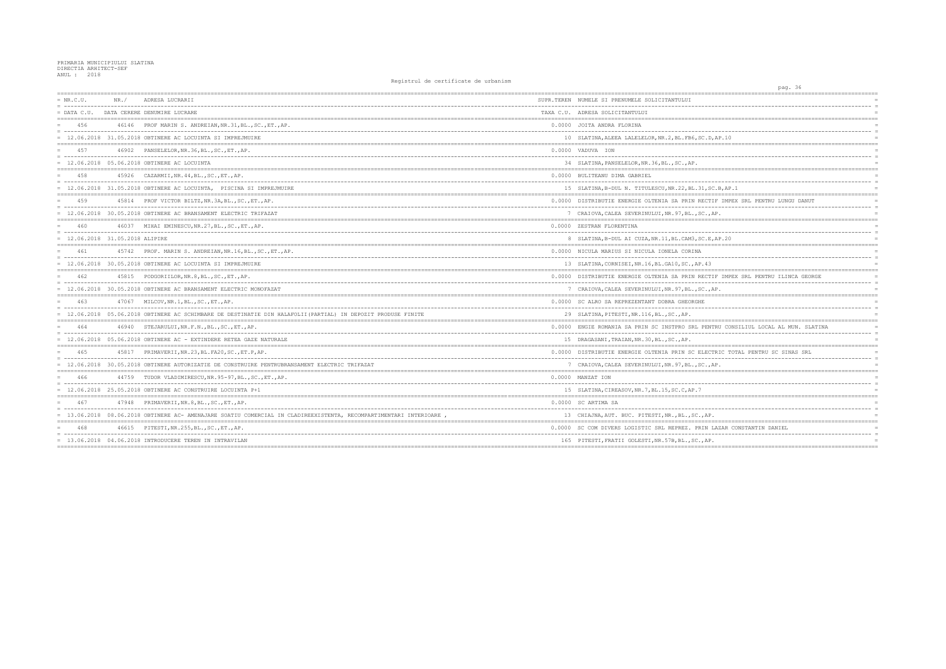| $= NR.C.U.$                   | NR. / | ADRESA LUCRARII                                                                                                   | SUPR.TEREN NUMELE SI PRENUMELE SOLICITANTULUI          |
|-------------------------------|-------|-------------------------------------------------------------------------------------------------------------------|--------------------------------------------------------|
| $=$ DATA C.U.                 |       | DATA CERERE DENUMIRE LUCRARE                                                                                      | TAXA C.U. ADRESA SOLICITANTULUI                        |
| 456                           |       | 46146 PROF MARIN S. ANDREIAN, NR. 31, BL., SC., ET., AP.                                                          | 0.0000 JOITA ANDRA FLORINA                             |
|                               |       | = 12.06.2018 31.05.2018 OBTINERE AC LOCUINTA SI IMPREJMUIRE                                                       | 10 SLATINA, ALEEA LALELELOR, NR. 2, BL. FB6, SC. D, AI |
| 457                           |       | 46902 PANSELELOR, NR. 36, BL., SC., ET., AP.                                                                      | 0.0000 VADUVA ION                                      |
|                               |       | = 12.06.2018 05.06.2018 OBTINERE AC LOCUINTA                                                                      | 34 SLATINA, PANSELELOR, NR. 36, BL., SC., AP.          |
| 458                           |       | 45926 CAZARMII, NR. 44, BL., SC., ET., AP.                                                                        | 0.0000 BULITEANU DIMA GABRIEL                          |
|                               |       | = 12.06.2018 31.05.2018 OBTINERE AC LOCUINTA, PISCINA SI IMPREJMUIRE                                              | 15 SLATINA, B-DUL N. TITULESCU, NR.22, BL.31, SC.I     |
| 459                           |       | 45814 PROF VICTOR BILTZ, NR. 3A, BL., SC., ET., AP.                                                               | 0.0000 DISTRIBUTIE ENERGIE OLTENIA SA PRIN RECTIF      |
|                               |       | = 12.06.2018 30.05.2018 OBTINERE AC BRANSAMENT ELECTRIC TRIFAZAT                                                  | 7 CRAIOVA, CALEA SEVERINULUI, NR. 97, BL., SC., AP.    |
| 460                           |       | 46037 MIHAI EMINESCU, NR. 27, BL., SC., ET., AP.                                                                  | 0.0000 ZESTRAN FLORENTINA                              |
| 12.06.2018 31.05.2018 ALIPIRE |       |                                                                                                                   | 8 SLATINA, B-DUL AI CUZA, NR. 11, BL. CAM3, SC. E, AI  |
| 461                           |       | 45742 PROF. MARIN S. ANDREIAN, NR. 16, BL., SC., ET., AP.                                                         | 0.0000 NICULA MARIUS SI NICULA IONELA CORINA           |
|                               |       | $= 12.06.2018$ 30.05.2018 OBTINERE AC LOCUINTA SI IMPREJMUIRE                                                     | 13 SLATINA, CORNISEI, NR. 16, BL. GA10, SC., AP. 43    |
| 462                           |       | 45815 PODGORIILOR, NR. 8, BL., SC., ET., AP.                                                                      | 0.0000 DISTRIBUTIE ENERGIE OLTENIA SA PRIN RECTIF      |
|                               |       | = 12.06.2018 30.05.2018 OBTINERE AC BRANSAMENT ELECTRIC MONOFAZAT                                                 | 7 CRAIOVA, CALEA SEVERINULUI, NR. 97, BL., SC., AP     |
| 463                           |       | 47067 MILCOV, NR. 1, BL., SC., ET., AP.                                                                           | 0.0000 SC ALRO SA REPREZENTANT DOBRA GHEORGHE          |
|                               |       | = 12.06.2018 05.06.2018 OBTINERE AC SCHIMBARE DE DESTINATIE DIN HALAFOLII (PARTIAL) IN DEPOZIT PRODUSE FINITE     | 29 SLATINA, PITESTI, NR. 116, BL., SC., AP.            |
| 464                           |       | 46940 STEJARULUI, NR.F.N., BL., SC., ET., AP.                                                                     | 0.0000 ENGIE ROMANIA SA PRIN SC INSTPRO SRL PENTRU     |
|                               |       | $= 12.06.2018$ 05.06.2018 OBTINERE AC - EXTINDERE RETEA GAZE NATURALE                                             | 15 DRAGASANI, TRAIAN, NR. 30, BL., SC., AP.            |
| 465                           |       | 45817 PRIMAVERII, NR. 23, BL. FA20, SC., ET. P, AP.                                                               | 0.0000 DISTRIBUTIE ENERGIE OLTENIA PRIN SC ELECTRI     |
|                               |       | = 12.06.2018 30.05.2018 OBTINERE AUTORIZATIE DE CONSTRUIRE PENTRUBRANSAMENT ELECTRIC TRIFAZAT                     | 7 CRAIOVA, CALEA SEVERINULUI, NR. 97, BL., SC., AP.    |
| 466                           |       | 44759 TUDOR VLADIMIRESCU, NR. 95-97, BL., SC., ET., AP.                                                           | 0.0000 MANZAT ION                                      |
|                               |       | $= 12.06.2018$ 25.05.2018 OBTINERE AC CONSTRUIRE LOCUINTA P+1                                                     | 15 SLATINA, CIREASOV, NR. 7, BL. 15, SC. C, AP. 7      |
| 467                           |       | 47948 PRIMAVERII, NR. 8, BL., SC., ET., AP.                                                                       | 0.0000 SC ARTIMA SA                                    |
|                               |       | = 13.06.2018 08.06.2018 OBTINERE AC-AMENAJARE SOATIU COMERCIAL IN CLADIREEXISTENTA, RECOMPARTIMENTARI INTERIOARE, | 13 CHIAJNA, AUT. BUC. PITESTI, NR., BL., SC., AP.      |
| 468                           |       | 46615 PITESTI, NR. 255, BL., SC., ET., AP.                                                                        | 0.0000 SC COM DIVERS LOGISTIC SRL REPREZ. PRIN LA2     |
|                               |       | $= 13.06.2018$ 04.06.2018 INTRODUCERE TEREN IN INTRAVILAN                                                         | 165 PITESTI, FRATII GOLESTI, NR.57B, BL., SC., AP.     |
|                               |       |                                                                                                                   |                                                        |

|                                      | pag. 36                          |
|--------------------------------------|----------------------------------|
| ==================                   | ================================ |
|                                      |                                  |
|                                      |                                  |
|                                      |                                  |
|                                      |                                  |
| .                                    | $=$                              |
|                                      |                                  |
| D, AP. 10                            |                                  |
|                                      |                                  |
|                                      | $\equiv$                         |
|                                      | $\equiv$                         |
|                                      |                                  |
|                                      |                                  |
|                                      |                                  |
|                                      |                                  |
| SC.B, AP.1                           |                                  |
|                                      |                                  |
| TIF IMPEX SRL PENTRU LUNGU DANUT     |                                  |
| $-$                                  |                                  |
| , $AP$ .                             |                                  |
|                                      |                                  |
|                                      |                                  |
| ----------                           | $=$                              |
| E, AP.20                             |                                  |
|                                      |                                  |
|                                      |                                  |
|                                      |                                  |
| 3                                    | $=$                              |
|                                      |                                  |
| TIF IMPEX SRL PENTRU ILINCA GEORGE   |                                  |
| -------                              | $\equiv$                         |
| , $AP$ .                             |                                  |
|                                      |                                  |
|                                      |                                  |
|                                      |                                  |
|                                      |                                  |
|                                      |                                  |
| NTRU CONSILIUL LOCAL AL MUN. SLATINA | $=$                              |
|                                      | $\equiv$                         |
|                                      |                                  |
|                                      |                                  |
| CTRIC TOTAL PENTRU SC SINAS SRL      |                                  |
| $-$                                  | $=$                              |
| , $AP$ .                             |                                  |
|                                      |                                  |
|                                      |                                  |
|                                      | $\equiv$                         |
|                                      |                                  |
|                                      |                                  |
|                                      |                                  |
|                                      |                                  |
|                                      |                                  |
| Ρ.                                   |                                  |
|                                      |                                  |
| LAZAR CONSTANTIN DANIEL              |                                  |
|                                      |                                  |
| Ρ.                                   |                                  |
| $=$ $=$                              |                                  |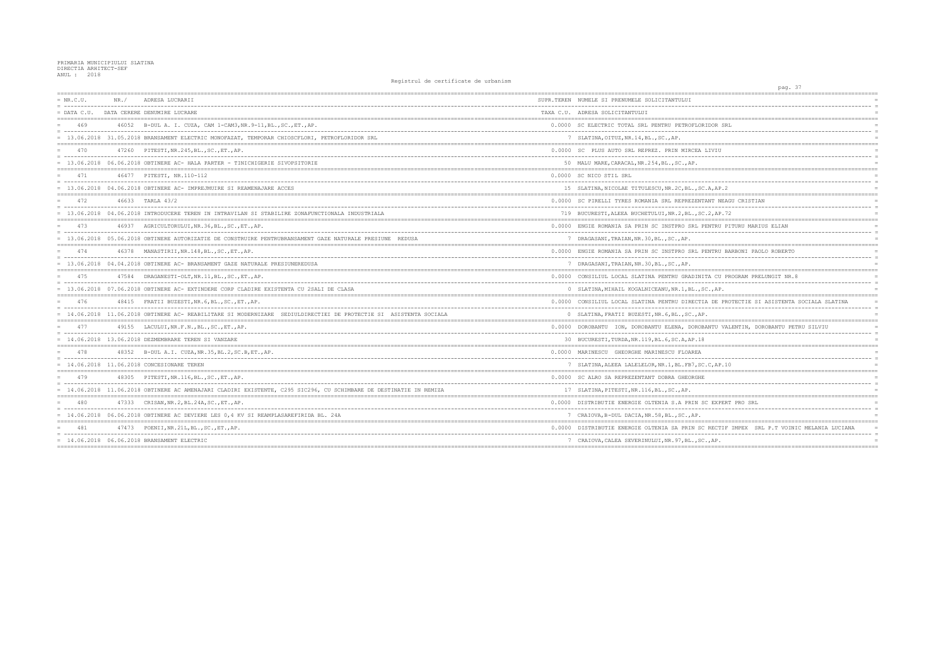| $= NR.C.U.$   | NR. / | ADRESA LUCRARII                                                                                                    | SUPR.TEREN NUMELE SI PRENUMELE SOLICITANTULUI        |
|---------------|-------|--------------------------------------------------------------------------------------------------------------------|------------------------------------------------------|
| $=$ DATA C.U. |       | DATA CERERE DENUMIRE LUCRARE                                                                                       | TAXA C.U. ADRESA SOLICITANTULUI                      |
| 469           |       | 46052 B-DUL A. I. CUZA, CAM 1-CAM3, NR. 9-11, BL., SC., ET., AP.                                                   | 0.0000 SC ELECTRIC TOTAL SRL PENTRU PETROFLORIDOR    |
|               |       | = 13.06.2018 31.05.2018 BRANSAMENT ELECTRIC MONOFAZAT, TEMPORAR CHIOSCFLORI, PETROFLORIDOR SRL                     | 7 SLATINA, OITUZ, NR. 14, BL., SC., AP.              |
| 470           |       | 47260 PITESTI, NR. 245, BL., SC., ET., AP.                                                                         | 0.0000 SC PLUS AUTO SRL REPREZ. PRIN MIRCEA LIVI     |
|               |       | 13.06.2018  06.06.2018 OBTINERE AC- HALA PARTER - TINICHIGERIE SIVOPSITORIE                                        | 50 MALU MARE, CARACAL, NR. 254, BL., SC., AP.        |
| 471           |       | 46477 PITESTI, NR.110-112                                                                                          | 0.0000 SC NICO STIL SRL                              |
|               |       | = 13.06.2018 04.06.2018 OBTINERE AC- IMPREJMUIRE SI REAMENAJARE ACCES                                              | 15 SLATINA, NICOLAE TITULESCU, NR. 2C, BL., SC.A, A  |
| 472           |       | 46633 TARLA 43/2                                                                                                   | 0.0000 SC PIRELLI TYRES ROMANIA SRL REPREZENTANT     |
|               |       | = 13.06.2018 04.06.2018 INTRODUCERE TEREN IN INTRAVILAN SI STABILIRE ZONAFUNCTIONALA INDUSTRIALA                   | 719 BUCURESTI, ALEEA BUCHETULUI, NR.2, BL., SC.2, A  |
| 473           |       | 46937 AGRICULTORULUI, NR. 36, BL., SC., ET., AP.                                                                   | 0.0000 ENGIE ROMANIA SA PRIN SC INSTPRO SRL PENTR    |
|               |       | = 13.06.2018 05.06.2018 OBTINERE AUTORIZATIE DE CONSTRUIRE PENTRUBRANSAMENT GAZE NATURALE PRESIUNE REDUSA          | 7 DRAGASANI, TRAIAN, NR. 30, BL., SC., AP.           |
|               |       | 46378 MANASTIRII, NR. 148, BL., SC., ET., AP.                                                                      | 0.0000 ENGIE ROMANIA SA PRIN SC INSTPRO SRL PENTR    |
|               |       | = 13.06.2018 04.04.2018 OBTINERE AC- BRANSAMENT GAZE NATURALE PRESIUNEREDUSA                                       | 7 DRAGASANI, TRAIAN, NR. 30, BL., SC., AP.           |
| 475           |       | 47584 DRAGANESTI-OLT, NR. 11, BL., SC., ET., AP.                                                                   | 0.0000 CONSILIUL LOCAL SLATINA PENTRU GRADINITA C    |
|               |       | = 13.06.2018 07.06.2018 OBTINERE AC- EXTINDERE CORP CLADIRE EXISTENTA CU 2SALI DE CLASA                            | 0 SLATINA, MIHAIL KOGALNICEANU, NR. 1, BL., SC., A   |
| 476           |       | 48415 FRATII BUZESTI, NR. 6, BL., SC., ET., AP.                                                                    | 0.0000 CONSILIUL LOCAL SLATINA PENTRU DIRECTIA DE    |
|               |       | 14.06.2018 11.06.2018 OBTINERE AC- REABILITARE SI MODERNIZARE SEDIULDIRECTIEI DE PROTECTIE SI ASISTENTA SOCIALA    | 0 SLATINA, FRATII BUZESTI, NR. 6, BL., SC., AP.      |
| 477           |       | 49155 LACULUI, NR.F.N., BL., SC., ET., AP.                                                                         | 0.0000 DOROBANTU ION, DOROBANTU ELENA, DOROBANTU     |
|               |       | $= 14.06.2018$ 13.06.2018 DEZMEMBRARE TEREN SI VANZARE                                                             | 30 BUCURESTI, TURDA, NR. 119, BL. 6, SC. A, AP. 18   |
| 478           |       | 48352 B-DUL A.I. CUZA, NR. 35, BL. 2, SC. B, ET., AP.                                                              | 0.0000 MARINESCU GHEORGHE MARINESCU FLOAREA          |
|               |       | = 14.06.2018 11.06.2018 CONCESIONARE TEREN                                                                         | 7 SLATINA, ALEEA LALELELOR, NR. 1, BL. FB7, SC. C, A |
| 479           |       | 48305 PITESTI, NR. 116, BL., SC., ET., AP.                                                                         | 0.0000 SC ALRO SA REPREZENTANT DOBRA GHEORGHE        |
|               |       | = 14.06.2018 11.06.2018 OBTINERE AC AMENAJARI CLADIRI EXISTENTE, C295 SIC296, CU SCHIMBARE DE DESTINATIE IN REMIZA | 17 SLATINA, PITESTI, NR. 116, BL., SC., AP.          |
| 480           |       | 47333 CRISAN, NR. 2, BL. 24A, SC., ET., AP.                                                                        | 0.0000 DISTRIBUTIE ENERGIE OLTENIA S.A PRIN SC EX    |
|               |       | = 14.06.2018 06.06.2018 OBTINERE AC DEVIERE LES 0,4 KV SI REAMPLASAREFIRIDA BL. 24A                                | 7 CRAIOVA, B-DUL DACIA, NR.58, BL., SC., AP.         |
| 481           |       | 47473 POENII, NR. 21L, BL., SC., ET., AP.                                                                          | 0.0000 DISTRIBUTIE ENERGIE OLTENIA SA PRIN SC REC    |
|               |       | = 14.06.2018 06.06.2018 BRANSAMENT ELECTRIC                                                                        | 7 CRAIOVA, CALEA SEVERINULUI, NR. 97, BL., SC., AP   |
|               |       |                                                                                                                    |                                                      |

| pag. 37                                                    |                 |
|------------------------------------------------------------|-----------------|
|                                                            |                 |
|                                                            | $=$             |
|                                                            |                 |
| DOR SRL                                                    |                 |
|                                                            | $=$             |
|                                                            | $=$             |
|                                                            |                 |
| IVIU                                                       | $=$<br>$\equiv$ |
|                                                            | $=$             |
|                                                            |                 |
|                                                            | $=$<br>$\equiv$ |
| A,AP.2                                                     |                 |
|                                                            |                 |
| NT NEAGU CRISTIAN                                          | $=$             |
| 2,AP.72                                                    | $=$<br>$=$      |
|                                                            |                 |
| NTRU PITURU MARIUS ELIAN                                   | $=$             |
|                                                            | $=$             |
|                                                            |                 |
| NTRU BARBONI PAOLO ROBERTO                                 |                 |
|                                                            | $=$             |
|                                                            |                 |
| A CU PROGRAM PRELUNGIT NR.8                                | $=$             |
| ---------                                                  | $\equiv$        |
| ., $AP$ .                                                  | $=$             |
| $=$<br>======<br>DE PROTECTIE SI ASISTENTA SOCIALA SLATINA | $=$<br>$=$      |
|                                                            | $\equiv$        |
|                                                            | $=$             |
| NTU VALENTIN, DOROBANTU PETRU SILVIU                       | $=$             |
|                                                            | $=$             |
|                                                            |                 |
|                                                            |                 |
|                                                            | $=$<br>$\equiv$ |
| C,AP.10                                                    | $=$             |
|                                                            | $=$             |
|                                                            | $=$<br>$=$      |
|                                                            | $=$             |
|                                                            |                 |
| EXPERT PRO SRL                                             |                 |
|                                                            | $=$<br>$=$      |
|                                                            |                 |
| RECTIF IMPEX SRL P.T VOINIC MELANIA LUCIANA                | $=$             |
| __________<br>, $AP$ .                                     | $=$<br>$=$      |
|                                                            |                 |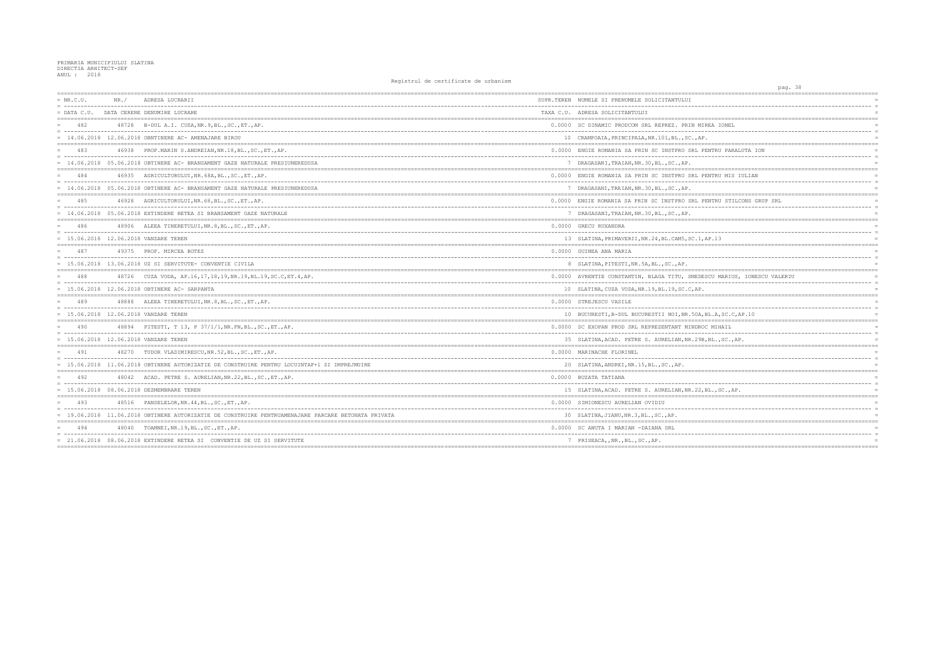| $= NR.C.U.$ | NR. / | ADRESA LUCRARII                                                                                     | SUPR.TEREN NUMELE SI PRENUMELE SOLICITANTULUI          |
|-------------|-------|-----------------------------------------------------------------------------------------------------|--------------------------------------------------------|
|             |       | = DATA C.U. DATA CERERE DENUMIRE LUCRARE                                                            | TAXA C.U. ADRESA SOLICITANTULUI                        |
| 482         |       | 48728 B-DUL A.I. CUZA, NR. 9, BL., SC., ET., AP.                                                    | 0.0000 SC DINAMIC PRODCOM SRL REPREZ. PRIN MIREA       |
|             |       | $= 14.06.2018$ 12.06.2018 OBNTINERE AC-AMENAJARE BIROU                                              | 10 CRAMPOAIA, PRINCIPALA, NR. 101, BL., SC., AP.       |
| 483         |       | 46938 PROF. MARIN S. ANDREIAN, NR. 18, BL., SC., ET., AP.                                           | 0.0000 ENGIE ROMANIA SA PRIN SC INSTPRO SRL PENTF      |
|             |       | 14.06.2018 05.06.2018 OBTINERE AC- BRANSAMENT GAZE NATURALE PRESIUNEREDUSA                          | 7 DRAGASANI, TRAIAN, NR. 30, BL., SC., AP.             |
| 484         |       | 46935 AGRICULTORULUI, NR. 68A, BL., SC., ET., AP.                                                   | 0.0000 ENGIE ROMANIA SA PRIN SC INSTPRO SRL PENTF      |
|             |       | = 14.06.2018 05.06.2018 OBTINERE AC- BRANSAMENT GAZE NATURALE PRESIUNEREDUSA                        | 7 DRAGASANI, TRAIAN, NR. 30, BL., SC., AP.             |
| 485         |       | 46928 AGRICULTORULUI, NR. 68, BL., SC., ET., AP.                                                    | 0.0000 ENGIE ROMANIA SA PRIN SC INSTPRO SRL PENTF      |
|             |       | = 14.06.2018 05.06.2018 EXTINDERE RETEA SI BRANSAMENT GAZE NATURALE                                 | 7 DRAGASANI, TRAIAN, NR. 30, BL., SC., AP.             |
| 486         |       | 48906 ALEEA TINERETULUI, NR. 8, BL., SC., ET., AP.                                                  | 0.0000 GRECU RUXANDRA                                  |
|             |       | $= 15.06.2018 12.06.2018$ VANZARE TEREN                                                             | 13 SLATINA, PRIMAVERII, NR. 24, BL. CAM5, SC. 1, AP. 1 |
| 487         |       | 49375 PROF. MIRCEA BOTEZ                                                                            | 0.0000 GUINEA ANA MARIA                                |
|             |       | $= 15.06.2018$ 13.06.2018 UZ SI SERVITUTE- CONVENTIE CIVILA                                         | 8 SLATINA, PITESTI, NR.5A, BL., SC., AP.               |
| 488         |       | 48726 CUZA VODA, AP.16,17,18,19,NR.19,BL.19,SC.C,ET.4,AP.                                           | 0.0000 AVRENTIE CONSTANTIN, BLAGA TITU, SMEDESCU       |
|             |       | = 15.06.2018 12.06.2018 OBTINERE AC- SARPANTA                                                       | 10 SLATINA, CUZA VODA, NR.19, BL.19, SC.C, AP.         |
| 489         |       | 48888 ALEEA TINERETULUI, NR. 8, BL., SC., ET., AP.                                                  | 0.0000 STREJESCU VASILE                                |
|             |       | = 15.06.2018 12.06.2018 VANZARE TEREN                                                               | 10 BUCURESTI, B-DUL BUCURESTII NOI, NR.50A, BL.A       |
| 490         |       | 48894 PITESTI, T 13, P 37/1/1, NR. FN, BL., SC., ET., AP.                                           | 0.0000 SC EXOPAN PROD SRL REPREZENTANT MINDROC MI      |
|             |       | = 15.06.2018 12.06.2018 VANZARE TEREN                                                               | 35 SLATINA, ACAD. PETRE S. AURELIAN, NR. 29B, BL.      |
| 491         |       | 48270 TUDOR VLADIMIRESCU, NR.52, BL., SC., ET., AP.                                                 | 0.0000 MARINACHE FLORINEL                              |
|             |       | = 15.06.2018 11.06.2018 OBTINERE AUTORIZATIE DE CONSTRUIRE PENTRU LOCUINTAP+1 SI IMPREJMUIRE        | 20 SLATINA, ANDREI, NR. 15, BL., SC., AP.              |
| 492         |       | 48042 ACAD. PETRE S. AURELIAN, NR. 22, BL., SC., ET., AP.                                           | 0.0000 BUZATA TATIANA                                  |
|             |       | = 15.06.2018 08.06.2018 DEZMEMBRARE TEREN                                                           | 15 SLATINA, ACAD. PETRE S. AURELIAN, NR. 22, BL.,      |
| 493         |       | 48516 PANSELELOR, NR. 44, BL., SC., ET., AP.                                                        | 0.0000 SIMIONESCU AURELIAN OVIDIU                      |
|             |       | = 19.06.2018 11.06.2018 OBTINERE AUTORIZATIE DE CONSTRUIRE PENTRUAMENAJARE PARCARE BETONATA PRIVATA | 30 SLATINA, JIANU, NR. 3, BL., SC., AP.                |
| 494         |       | 48040 TOAMNEI, NR.19, BL., SC., ET., AP.                                                            | 0.0000 SC ANUTA I MARIAN -DAIANA SRL                   |
|             |       | = 21.06.2018 08.06.2018 EXTINDERE RETEA SI CONVENTIE DE UZ SI SERVITUTE                             | 7 PRISEACA, , NR., BL., SC., AP.                       |
|             |       |                                                                                                     |                                                        |

| ===================                                           |  |
|---------------------------------------------------------------|--|
|                                                               |  |
| $=$<br>$=$                                                    |  |
| $=$                                                           |  |
|                                                               |  |
| EA IONEL<br>$=$                                               |  |
| $=$                                                           |  |
| $=$<br>---------                                              |  |
| NTRU PARALUTA ION<br>$=$                                      |  |
| $=$                                                           |  |
| $=$                                                           |  |
| NTRU MIS IULIAN<br>$=$                                        |  |
| $=$                                                           |  |
| $=$                                                           |  |
| -----------------------<br>$=$ $=$<br>----                    |  |
| NTRU STILCONS GRUP SRL<br>$=$                                 |  |
| $=$<br>$=$                                                    |  |
|                                                               |  |
| $=$                                                           |  |
| . <u>.</u> .<br>$=$                                           |  |
| P.13<br>$=$                                                   |  |
| -----------------------------------<br>==============<br>$=$  |  |
| $=$                                                           |  |
| $=$                                                           |  |
|                                                               |  |
| CU MARIUS, IONESCU VALERIU<br>$=$                             |  |
| .<br>$=$<br>$=$                                               |  |
| =======<br>.===================================<br>========== |  |
| $=$                                                           |  |
|                                                               |  |
| $=$                                                           |  |
| L.A, SC.C, AP.10<br>$=$                                       |  |
|                                                               |  |
| MIHAIL<br>$=$<br>$=$                                          |  |
| BL., SC., AP.<br>$=$                                          |  |
|                                                               |  |
| $=$                                                           |  |
| $=$                                                           |  |
| $=$                                                           |  |
| $=$                                                           |  |
| $=$                                                           |  |
| $L$ ., SC., AP.<br>$=$                                        |  |
|                                                               |  |
| $=$<br>$=$                                                    |  |
| $=$                                                           |  |
|                                                               |  |
| $=$                                                           |  |
| ----------------------<br>$=$                                 |  |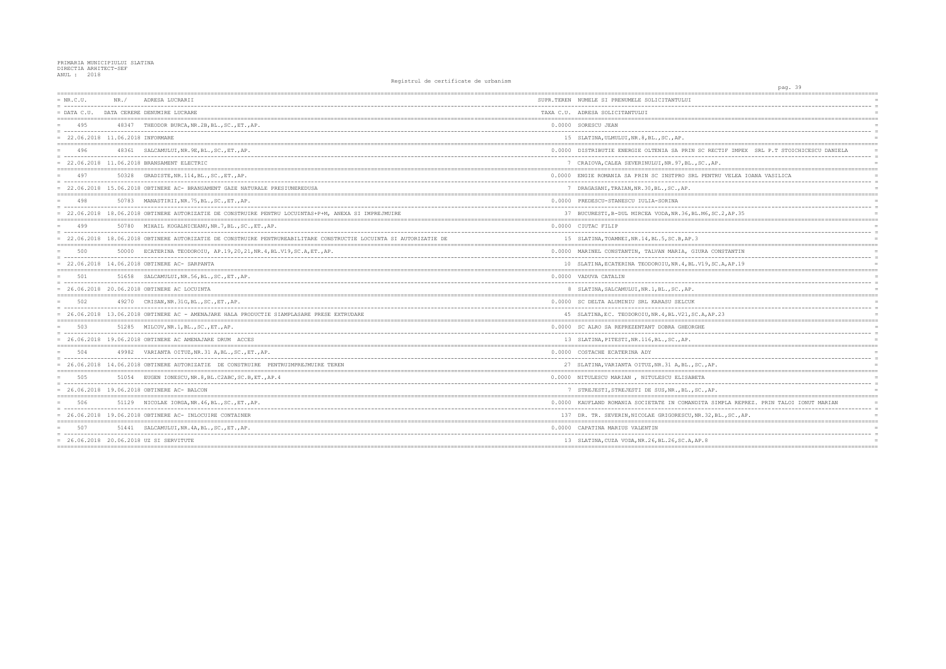| $= NR.C.U.$                         | NR. / | ADRESA LUCRARII                                                                                                   | SUPR.TEREN NUMELE SI PRENUMELE SOLICITANTULUI         |
|-------------------------------------|-------|-------------------------------------------------------------------------------------------------------------------|-------------------------------------------------------|
| $=$ DATA C.U.                       |       | DATA CERERE DENUMIRE LUCRARE                                                                                      | TAXA C.U. ADRESA SOLICITANTULUI                       |
| 495                                 |       | 48347 THEODOR BURCA, NR. 2B, BL., SC., ET., AP.                                                                   | 0.0000 SORESCU JEAN                                   |
| $= 22.06.2018 11.06.2018 INFORMARE$ |       |                                                                                                                   | 15 SLATINA, ULMULUI, NR. 8, BL., SC., AP.             |
| 496                                 |       | 48361 SALCAMULUI, NR. 9E, BL., SC., ET., AP.                                                                      | 0.0000 DISTRIBUTIE ENERGIE OLTENIA SA PRIN SC REC     |
|                                     |       | 22.06.2018 11.06.2018 BRANSAMENT ELECTRIC                                                                         | 7 CRAIOVA, CALEA SEVERINULUI, NR. 97, BL., SC., AP    |
| 497                                 |       | 50328 GRADISTE, NR. 114, BL., SC., ET., AP.                                                                       | 0.0000 ENGIE ROMANIA SA PRIN SC INSTPRO SRL PENTR     |
|                                     |       | = 22.06.2018 15.06.2018 OBTINERE AC- BRANSAMENT GAZE NATURALE PRESIUNEREDUSA                                      | 7 DRAGASANI, TRAIAN, NR. 30, BL., SC., AP.            |
| 498                                 |       | 50783 MANASTIRII, NR. 75, BL., SC., ET., AP.                                                                      | 0.0000 PREDESCU-STANESCU IULIA-SORINA                 |
|                                     |       | = 22.06.2018 18.06.2018 OBTINERE AUTORIZATIE DE CONSTRUIRE PENTRU LOCUINTAS+P+M, ANEXA SI IMPREJMUIRE             | 37 BUCURESTI, B-DUL MIRCEA VODA, NR. 36, BL. M6, SC   |
| 499                                 |       | 50780 MIHAIL KOGALNICEANU, NR. 7, BL., SC., ET., AP.                                                              | 0.0000 CIUTAC FILIP                                   |
|                                     |       | 22.06.2018 18.06.2018 OBTINERE AUTORIZATIE DE CONSTRUIRE PENTRUREABILITARE CONSTRUCTIE LOCUINTA SI AUTORIZATIE DE | 15 SLATINA, TOAMNEI, NR.14, BL.5, SC.B, AP.3          |
| 500                                 |       | 50000 ECATERINA TEODOROIU, AP.19,20,21, NR.4, BL.V19, SC.A, ET., AP.                                              | 0.0000 MARINEL CONSTANTIN, TALVAN MARIA, GIURA CO     |
|                                     |       | = 22.06.2018 14.06.2018 OBTINERE AC- SARPANTA                                                                     | 10 SLATINA, ECATERINA TEODOROIU, NR. 4, BL. V19, SC   |
| 501                                 |       | 51658 SALCAMULUI, NR.56, BL., SC., ET., AP.                                                                       | 0.0000 VADUVA CATALIN                                 |
|                                     |       | = 26.06.2018 20.06.2018 OBTINERE AC LOCUINTA                                                                      | 8 SLATINA, SALCAMULUI, NR. 1, BL., SC., AP.           |
| 502                                 |       | 49270 CRISAN, NR. 31G, BL., SC., ET., AP.                                                                         | 0.0000 SC DELTA ALUMINIU SRL KARASU SELCUK            |
|                                     |       | = 26.06.2018 13.06.2018 OBTINERE AC - AMENAJARE HALA PRODUCTIE SIAMPLASARE PRESE EXTRUDARE                        | 45 SLATINA, EC. TEODOROIU, NR. 4, BL. V21, SC. A, AP. |
| 503                                 |       | 51285 MILCOV, NR. 1, BL., SC., ET., AP.                                                                           | 0.0000 SC ALRO SA REPREZENTANT DOBRA GHEORGHE         |
|                                     |       | 26.06.2018 19.06.2018 OBTINERE AC AMENAJARE DRUM ACCES                                                            | 13 SLATINA, PITESTI, NR. 116, BL., SC., AP.           |
| 504                                 |       | 49982 VARIANTA OITUZ.NR.31 A.BLSCETAP.                                                                            | 0.0000 COSTACHE ECATERINA ADY                         |
|                                     |       | = 26.06.2018 14.06.2018 OBTINERE AUTORIZATIE DE CONSTRUIRE PENTRUIMPREJMUIRE TEREN                                | 27 SLATINA, VARIANTA OITUZ, NR. 31 A, BL., SC., AP.   |
| 505                                 |       | 51054 EUGEN IONESCU, NR. 8, BL. C2ABC, SC. B, ET., AP. 4                                                          | 0.0000 NITULESCU MARIAN, NITULESCU ELISABETA          |
|                                     |       | = 26.06.2018 19.06.2018 OBTINERE AC- BALCON                                                                       | 7 STREJESTI, STREJESTI DE SUS, NR., BL., SC., AP.     |
| 506                                 |       | 51129 NICOLAE IORGA, NR. 46, BL., SC., ET., AP.                                                                   | 0.0000 KAUFLAND ROMANIA SOCIETATE IN COMANDITA SI     |
|                                     |       | $= 26.06.2018$ 19.06.2018 OBTINERE AC- INLOCUIRE CONTAINER                                                        | 137 DR. TR. SEVERIN, NICOLAE GRIGORESCU, NR. 32, B    |
| 507                                 |       | 51441 SALCAMULUI, NR. 4A, BL., SC., ET., AP.                                                                      | 0.0000 CAPATINA MARIUS VALENTIN                       |
|                                     |       | $= 26.06.2018 20.06.2018 UZ SI$ SERVITUTE                                                                         | 13 SLATINA, CUZA VODA, NR. 26, BL. 26, SC. A, AP. 8   |
|                                     |       |                                                                                                                   |                                                       |

| pag. 39                                          |                      |
|--------------------------------------------------|----------------------|
|                                                  |                      |
|                                                  | $\equiv$             |
|                                                  |                      |
|                                                  | $\equiv$             |
|                                                  | $\equiv$             |
|                                                  |                      |
|                                                  |                      |
| RECTIF IMPEX SRL P.T STOICHICESCU DANIELA<br>$-$ | $\overline{a}$       |
| AP.                                              | $=$                  |
|                                                  |                      |
| VTRU VELEA IOANA VASILICA                        | $\equiv$<br>$\equiv$ |
|                                                  | $\equiv$             |
|                                                  |                      |
|                                                  | $\equiv$             |
| SC.2, AP.35                                      |                      |
|                                                  |                      |
|                                                  |                      |
|                                                  | $\equiv$             |
|                                                  |                      |
| CONSTANTIN                                       |                      |
| $-$<br>.<br>SC.A, AP.19                          | $\equiv$             |
|                                                  | $=$                  |
|                                                  |                      |
|                                                  | $\equiv$             |
|                                                  |                      |
|                                                  | $\equiv$             |
| AP.23                                            | $\equiv$             |
| =========<br>----------------------------        |                      |
|                                                  |                      |
|                                                  | $\equiv$             |
|                                                  |                      |
|                                                  |                      |
|                                                  | $\equiv$             |
| ĄР.                                              |                      |
|                                                  |                      |
|                                                  | $\equiv$             |
| ÀР.                                              |                      |
| SIMPLA REPREZ. PRIN TALOI IONUT MARIAN           |                      |
| .<br>.                                           | $\overline{a}$       |
| 2,BL.,SC.,AP.                                    |                      |
|                                                  |                      |
|                                                  |                      |
|                                                  | $=$                  |
|                                                  |                      |